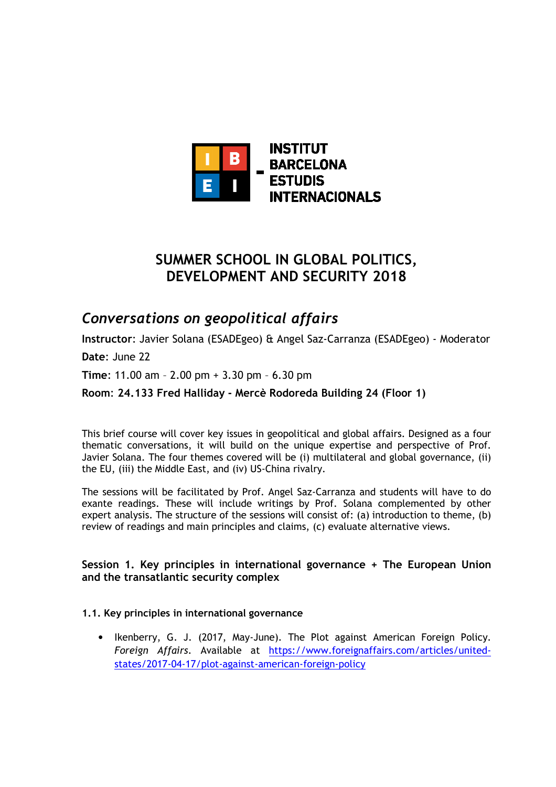

# **SUMMER SCHOOL IN GLOBAL POLITICS, DEVELOPMENT AND SECURITY 2018**

## *Conversations on geopolitical affairs*

**Instructor**: Javier Solana (ESADEgeo) & Angel Saz-Carranza (ESADEgeo) - Moderator

**Date**: June 22

**Time**: 11.00 am – 2.00 pm + 3.30 pm – 6.30 pm

**Room**: **24.133 Fred Halliday - Mercè Rodoreda Building 24 (Floor 1)**

This brief course will cover key issues in geopolitical and global affairs. Designed as a four thematic conversations, it will build on the unique expertise and perspective of Prof. Javier Solana. The four themes covered will be (i) multilateral and global governance, (ii) the EU, (iii) the Middle East, and (iv) US-China rivalry.

The sessions will be facilitated by Prof. Angel Saz-Carranza and students will have to do exante readings. These will include writings by Prof. Solana complemented by other expert analysis. The structure of the sessions will consist of: (a) introduction to theme, (b) review of readings and main principles and claims, (c) evaluate alternative views.

## **Session 1. Key principles in international governance + The European Union and the transatlantic security complex**

#### **1.1. Key principles in international governance**

• Ikenberry, G. J. (2017, May-June). The Plot against American Foreign Policy. *Foreign Affairs*. Available at https://www.foreignaffairs.com/articles/unitedstates/2017-04-17/plot-against-american-foreign-policy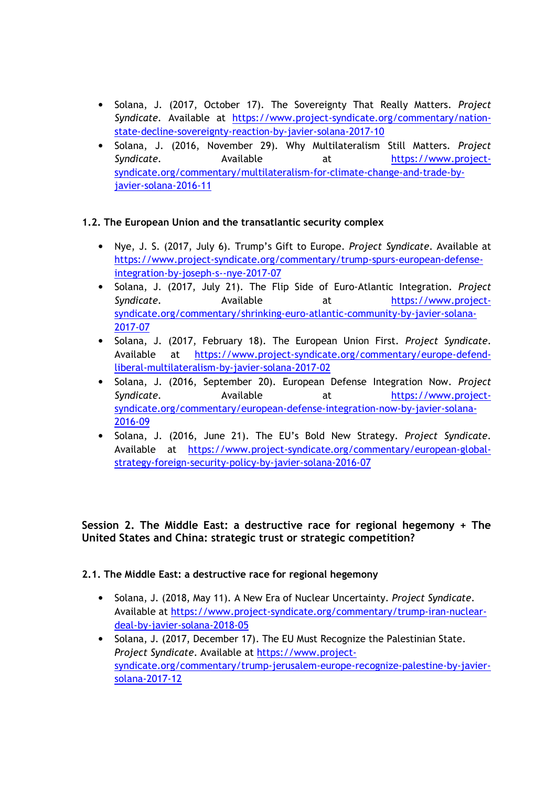- Solana, J. (2017, October 17). The Sovereignty That Really Matters. *Project Syndicate*. Available at https://www.project-syndicate.org/commentary/nationstate-decline-sovereignty-reaction-by-javier-solana-2017-10
- Solana, J. (2016, November 29). Why Multilateralism Still Matters. *Project Syndicate*. Available at https://www.projectsyndicate.org/commentary/multilateralism-for-climate-change-and-trade-byjavier-solana-2016-11

## **1.2. The European Union and the transatlantic security complex**

- Nye, J. S. (2017, July 6). Trump's Gift to Europe. *Project Syndicate*. Available at https://www.project-syndicate.org/commentary/trump-spurs-european-defenseintegration-by-joseph-s--nye-2017-07
- Solana, J. (2017, July 21). The Flip Side of Euro-Atlantic Integration. *Project*  Syndicate. **Available** at https://www.projectsyndicate.org/commentary/shrinking-euro-atlantic-community-by-javier-solana-2017-07
- Solana, J. (2017, February 18). The European Union First. *Project Syndicate*. Available at https://www.project-syndicate.org/commentary/europe-defendliberal-multilateralism-by-javier-solana-2017-02
- Solana, J. (2016, September 20). European Defense Integration Now. *Project Syndicate*. Available at https://www.projectsyndicate.org/commentary/european-defense-integration-now-by-javier-solana-2016-09
- Solana, J. (2016, June 21). The EU's Bold New Strategy. *Project Syndicate*. Available at https://www.project-syndicate.org/commentary/european-globalstrategy-foreign-security-policy-by-javier-solana-2016-07

**Session 2. The Middle East: a destructive race for regional hegemony + The United States and China: strategic trust or strategic competition?** 

## **2.1. The Middle East: a destructive race for regional hegemony**

- Solana, J. (2018, May 11). A New Era of Nuclear Uncertainty. *Project Syndicate*. Available at https://www.project-syndicate.org/commentary/trump-iran-nucleardeal-by-javier-solana-2018-05
- Solana, J. (2017, December 17). The EU Must Recognize the Palestinian State. *Project Syndicate*. Available at https://www.projectsyndicate.org/commentary/trump-jerusalem-europe-recognize-palestine-by-javiersolana-2017-12